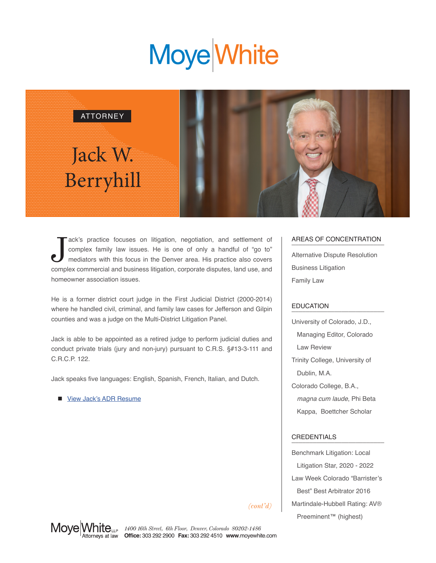# **Moye** White



Tack's practice focuses on litigation, negotiation, and settlement of complex family law issues. He is one of only a handful of "go to" mediators with this focus in the Denver area. His practice also covers complex commerc ack's practice focuses on litigation, negotiation, and settlement of complex family law issues. He is one of only a handful of "go to" mediators with this focus in the Denver area. His practice also covers homeowner association issues.

He is a former district court judge in the First Judicial District (2000-2014) where he handled civil, criminal, and family law cases for Jefferson and Gilpin counties and was a judge on the Multi-District Litigation Panel.

Jack is able to be appointed as a retired judge to perform judicial duties and conduct private trials (jury and non-jury) pursuant to C.R.S. §#13-3-111 and C.R.C.P. 122.

Jack speaks five languages: English, Spanish, French, Italian, and Dutch.

[View Jack's ADR Resume](https://www.moyewhite.com/MoyeWhite/media/MoyeWhite/Files/Jack-W-Berryhill-Resume.pdf)

## AREAS OF CONCENTRATION

Alternative Dispute Resolution Business Litigation Family Law

### **EDUCATION**

University of Colorado, J.D., Managing Editor, Colorado Law Review Trinity College, University of Dublin, M.A. Colorado College, B.A., *magna cum laude*, Phi Beta Kappa, Boettcher Scholar

### CREDENTIALS \_\_\_\_\_\_\_\_\_\_\_\_\_\_\_\_\_\_\_\_\_\_\_\_\_\_

Benchmark Litigation: Local Litigation Star, 2020 - 2022 Law Week Colorado "Barrister's Best" Best Arbitrator 2016 Martindale-Hubbell Rating: AV® Preeminent™ (highest)

*(cont'd)*



*1400 16th Street, 6th Floor, Denver, Colorado 80202-1486* **Office:** 303 292 2900 **Fax:** 303 292 4510 **www**.moyewhite.com